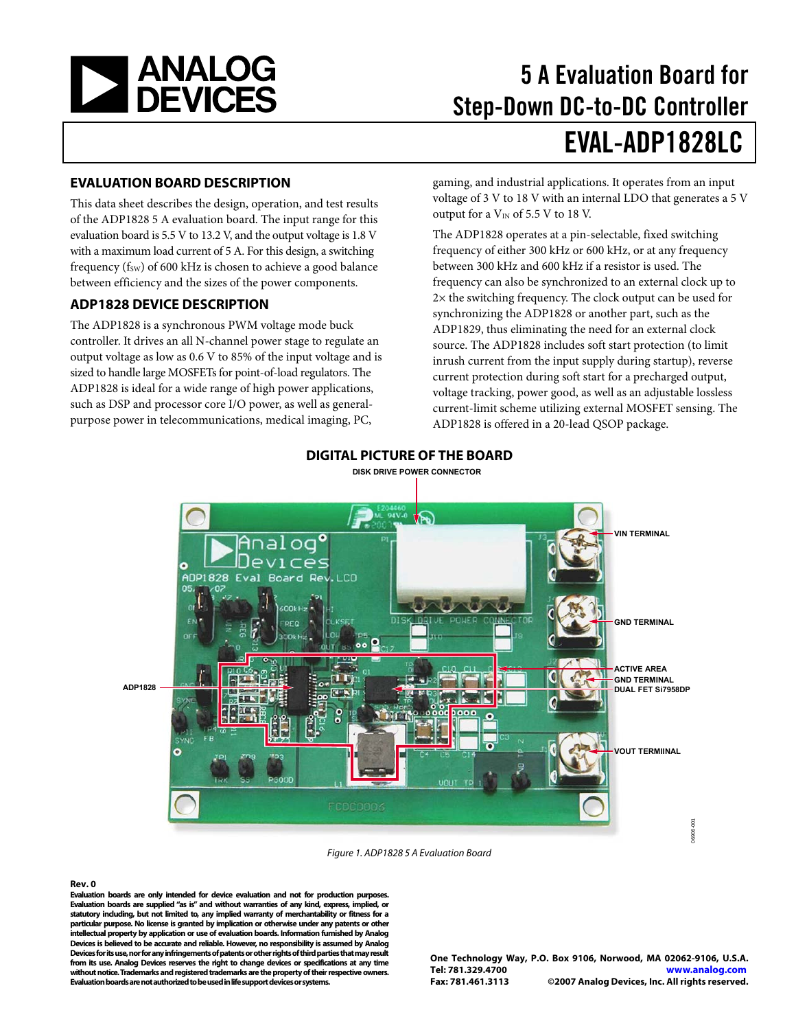<span id="page-0-0"></span>

# 5 A Evaluation Board for Step-Down DC-to-DC Controller EVAL-ADP1828LC

#### **EVALUATION BOARD DESCRIPTION**

This data sheet describes the design, operation, and test results of the ADP1828 5 A evaluation board. The input range for this evaluation board is 5.5 V to 13.2 V, and the output voltage is 1.8 V with a maximum load current of 5 A. For this design, a switching frequency ( $f_{SW}$ ) of 600 kHz is chosen to achieve a good balance between efficiency and the sizes of the power components.

#### **ADP1828 DEVICE DESCRIPTION**

The ADP1828 is a synchronous PWM voltage mode buck controller. It drives an all N-channel power stage to regulate an output voltage as low as 0.6 V to 85% of the input voltage and is sized to handle large MOSFETs for point-of-load regulators. The ADP1828 is ideal for a wide range of high power applications, such as DSP and processor core I/O power, as well as generalpurpose power in telecommunications, medical imaging, PC,

gaming, and industrial applications. It operates from an input voltage of 3 V to 18 V with an internal LDO that generates a 5 V output for a  $V_{IN}$  of 5.5 V to 18 V.

The ADP1828 operates at a pin-selectable, fixed switching frequency of either 300 kHz or 600 kHz, or at any frequency between 300 kHz and 600 kHz if a resistor is used. The frequency can also be synchronized to an external clock up to 2× the switching frequency. The clock output can be used for synchronizing the ADP1828 or another part, such as the ADP1829, thus eliminating the need for an external clock source. The ADP1828 includes soft start protection (to limit inrush current from the input supply during startup), reverse current protection during soft start for a precharged output, voltage tracking, power good, as well as an adjustable lossless current-limit scheme utilizing external MOSFET sensing. The ADP1828 is offered in a 20-lead QSOP package.



#### **DIGITAL PICTURE OF THE BOARD DISK DRIVE POWER CONNECTOR**

Figure 1. ADP1828 5 A Evaluation Board

#### **Rev. 0**

**Evaluation boards are only intended for device evaluation and not for production purposes. Evaluation boards are supplied "as is" and without warranties of any kind, express, implied, or statutory including, but not limited to, any implied warranty of merchantability or fitness for a particular purpose. No license is granted by implication or otherwise under any patents or other intellectual property by application or use of evaluation boards. Information furnished by Analog Devices is believed to be accurate and reliable. However, no responsibility is assumed by Analog Devices for its use, nor for any infringements of patents or other rights of third parties that may result from its use. Analog Devices reserves the right to change devices or specifications at any time without notice. Trademarks and registered trademarks are the property of their respective owners. Evaluation boards are not authorized to be used in life support devices or systems.**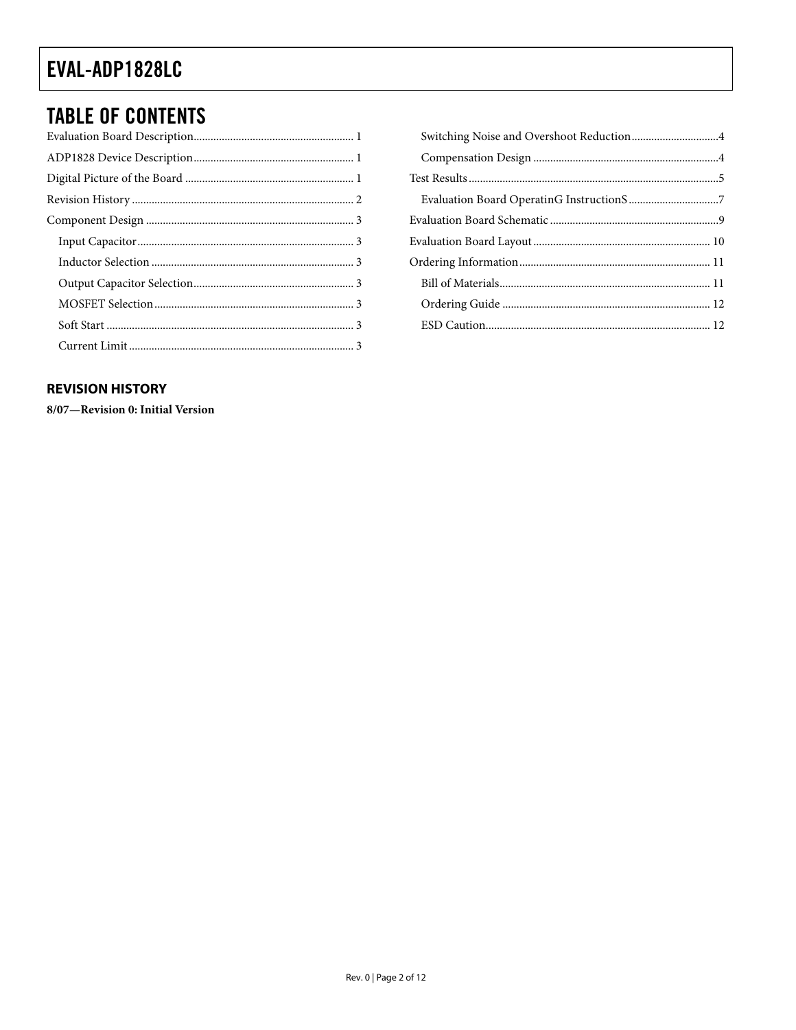### <span id="page-1-0"></span>**TABLE OF CONTENTS**

### **REVISION HISTORY**

8/07-Revision 0: Initial Version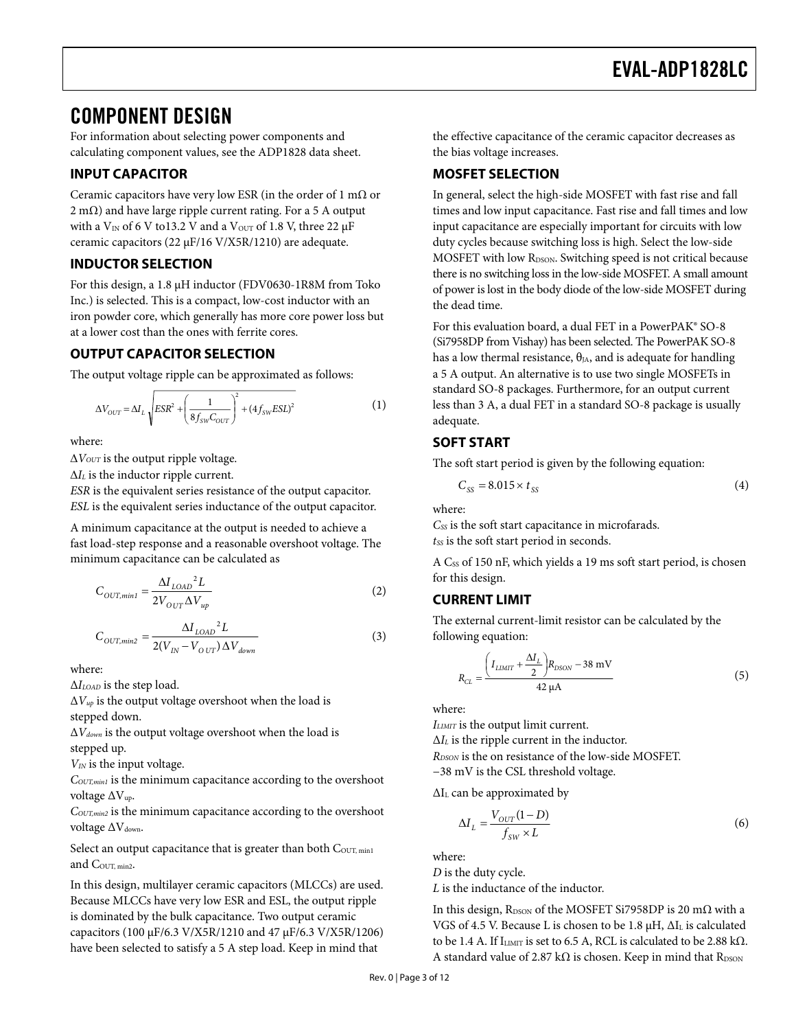### <span id="page-2-0"></span>COMPONENT DESIGN

For information about selecting power components and calculating component values, see the ADP1828 data sheet.

### **INPUT CAPACITOR**

Ceramic capacitors have very low ESR (in the order of 1 m $\Omega$  or  $2 \text{ mA}$ ) and have large ripple current rating. For a 5 A output with a  $V_{IN}$  of 6 V to13.2 V and a  $V_{OUT}$  of 1.8 V, three 22  $\mu$ F ceramic capacitors (22 μF/16 V/X5R/1210) are adequate.

#### **INDUCTOR SELECTION**

For this design, a 1.8 μH inductor (FDV0630-1R8M from Toko Inc.) is selected. This is a compact, low-cost inductor with an iron powder core, which generally has more core power loss but at a lower cost than the ones with ferrite cores.

#### **OUTPUT CAPACITOR SELECTION**

The output voltage ripple can be approximated as follows:

$$
\Delta V_{OUT} = \Delta I_L \sqrt{ESR^2 + \left(\frac{1}{8f_{SW}C_{OUT}}\right)^2 + (4f_{SW}ESL)^2}
$$
 (1)

where:

Δ*VOUT* is the output ripple voltage.

Δ*IL* is the inductor ripple current.

*ESR* is the equivalent series resistance of the output capacitor. *ESL* is the equivalent series inductance of the output capacitor.

A minimum capacitance at the output is needed to achieve a fast load-step response and a reasonable overshoot voltage. The minimum capacitance can be calculated as

$$
C_{OUT,min} = \frac{\Delta I_{LOAD}^2 L}{2V_{OUT}\Delta V_{up}}
$$
 (2)

$$
C_{OUT,min2} = \frac{\Delta I_{LOAD}{}^{2} L}{2(V_{IN} - V_{OUT}) \Delta V_{down}}
$$
\n(3)

where:

Δ*ILOAD* is the step load.

Δ*Vup* is the output voltage overshoot when the load is stepped down.

Δ*Vdown* is the output voltage overshoot when the load is stepped up.

*VIN* is the input voltage.

*COUT,min1* is the minimum capacitance according to the overshoot voltage ΔVup.

*COUT,min2* is the minimum capacitance according to the overshoot voltage ΔV<sub>down</sub>.

Select an output capacitance that is greater than both COUT, min1 and COUT, min2.

In this design, multilayer ceramic capacitors (MLCCs) are used. Because MLCCs have very low ESR and ESL, the output ripple is dominated by the bulk capacitance. Two output ceramic capacitors (100 μF/6.3 V/X5R/1210 and 47 μF/6.3 V/X5R/1206) have been selected to satisfy a 5 A step load. Keep in mind that

the effective capacitance of the ceramic capacitor decreases as the bias voltage increases.

### **MOSFET SELECTION**

In general, select the high-side MOSFET with fast rise and fall times and low input capacitance. Fast rise and fall times and low input capacitance are especially important for circuits with low duty cycles because switching loss is high. Select the low-side MOSFET with low R<sub>DSON</sub>. Switching speed is not critical because there is no switching loss in the low-side MOSFET. A small amount of power is lost in the body diode of the low-side MOSFET during the dead time.

For this evaluation board, a dual FET in a PowerPAK® SO-8 (Si7958DP from Vishay) has been selected. The PowerPAK SO-8 has a low thermal resistance,  $\theta_{JA}$ , and is adequate for handling a 5 A output. An alternative is to use two single MOSFETs in standard SO-8 packages. Furthermore, for an output current less than 3 A, a dual FET in a standard SO-8 package is usually adequate.

### **SOFT START**

The soft start period is given by the following equation:

$$
C_{SS} = 8.015 \times t_{SS} \tag{4}
$$

where:

*CSS* is the soft start capacitance in microfarads. *tss* is the soft start period in seconds.

A Css of 150 nF, which yields a 19 ms soft start period, is chosen for this design.

### **CURRENT LIMIT**

The external current-limit resistor can be calculated by the following equation:

$$
R_{CL} = \frac{\left(I_{LIMIT} + \frac{\Delta I_L}{2}\right)R_{DSON} - 38 \text{ mV}}{42 \mu A}
$$
(5)

where:

*ILIMIT* is the output limit current. Δ*IL* is the ripple current in the inductor. *RDSON* is the on resistance of the low-side MOSFET. −38 mV is the CSL threshold voltage.

ΔIL can be approximated by

$$
\Delta I_L = \frac{V_{OUT}(1 - D)}{f_{SW} \times L} \tag{6}
$$

where:

*D* is the duty cycle. *L* is the inductance of the inductor.

In this design, R<sub>DSON</sub> of the MOSFET Si7958DP is 20 m $\Omega$  with a VGS of 4.5 V. Because L is chosen to be 1.8  $\mu$ H,  $\Delta I_L$  is calculated to be 1.4 A. If  $I_{\text{LIMIT}}$  is set to 6.5 A, RCL is calculated to be 2.88 k $\Omega$ . A standard value of 2.87 k $\Omega$  is chosen. Keep in mind that RDSON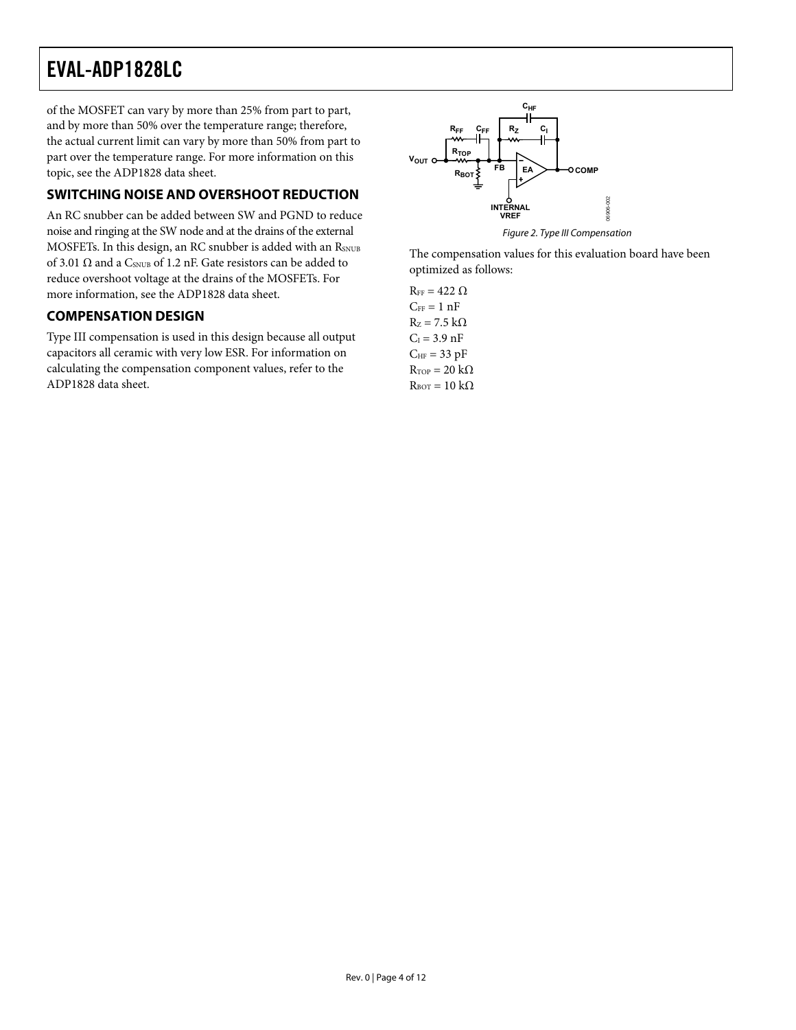<span id="page-3-0"></span>of the MOSFET can vary by more than 25% from part to part, and by more than 50% over the temperature range; therefore, the actual current limit can vary by more than 50% from part to part over the temperature range. For more information on this topic, see the ADP1828 data sheet.

### **SWITCHING NOISE AND OVERSHOOT REDUCTION**

An RC snubber can be added between SW and PGND to reduce noise and ringing at the SW node and at the drains of the external MOSFETs. In this design, an RC snubber is added with an RSNUB of 3.01  $\Omega$  and a CSNUB of 1.2 nF. Gate resistors can be added to reduce overshoot voltage at the drains of the MOSFETs. For more information, see the ADP1828 data sheet.

#### **COMPENSATION DESIGN**

Type III compensation is used in this design because all output capacitors all ceramic with very low ESR. For information on calculating the compensation component values, refer to the ADP1828 data sheet.



The compensation values for this evaluation board have been optimized as follows:

 $R_{FF} = 422 \Omega$  $C_{FF} = 1 nF$  $R_z = 7.5$  kΩ  $C_I = 3.9$  nF  $C_{HF}$  = 33 pF  $R_{\text{TOP}} = 20 \text{ k}\Omega$  $R_{\text{BOT}} = 10 \text{ k}\Omega$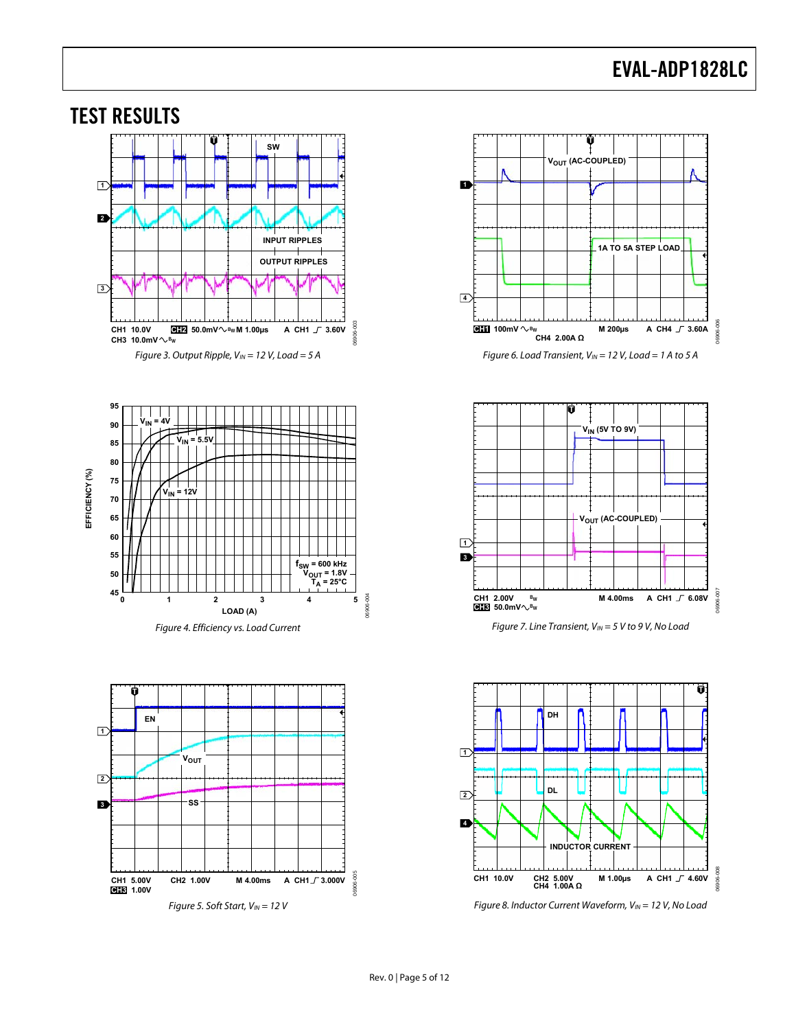<span id="page-4-0"></span>

Figure 5. Soft Start,  $V_{IN}$  = 12 V





Figure 7. Line Transient,  $V_{IN} = 5 V$  to 9 V, No Load



Figure 8. Inductor Current Waveform,  $V_{IN} = 12$  V, No Load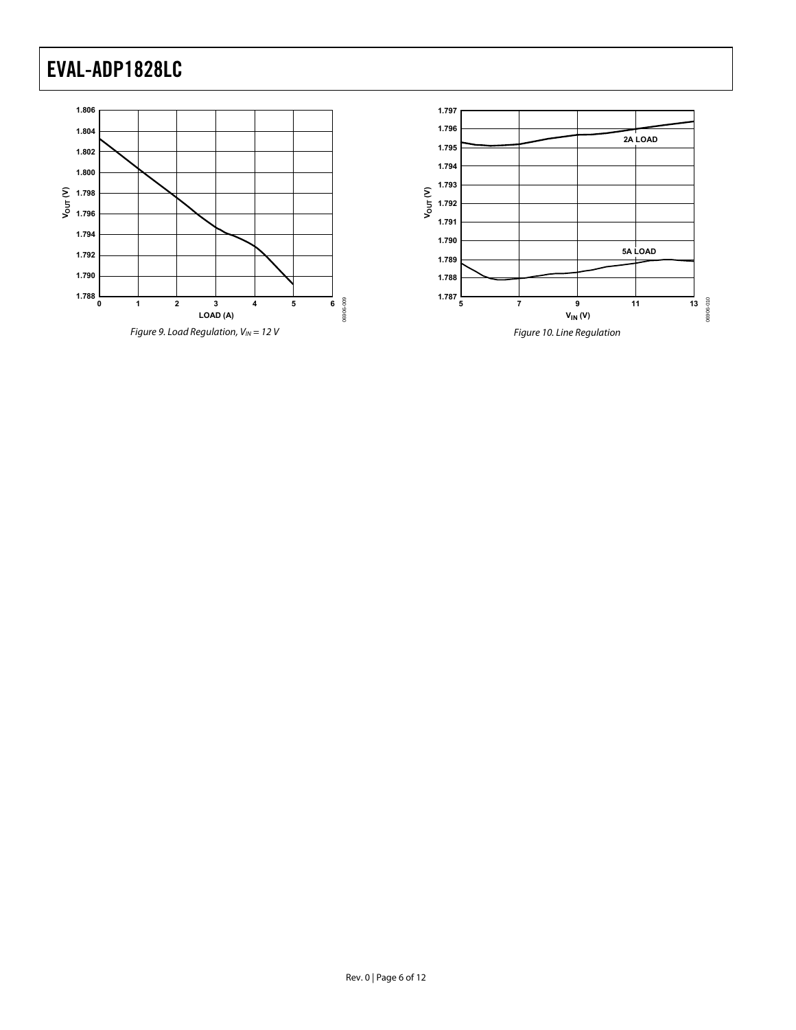

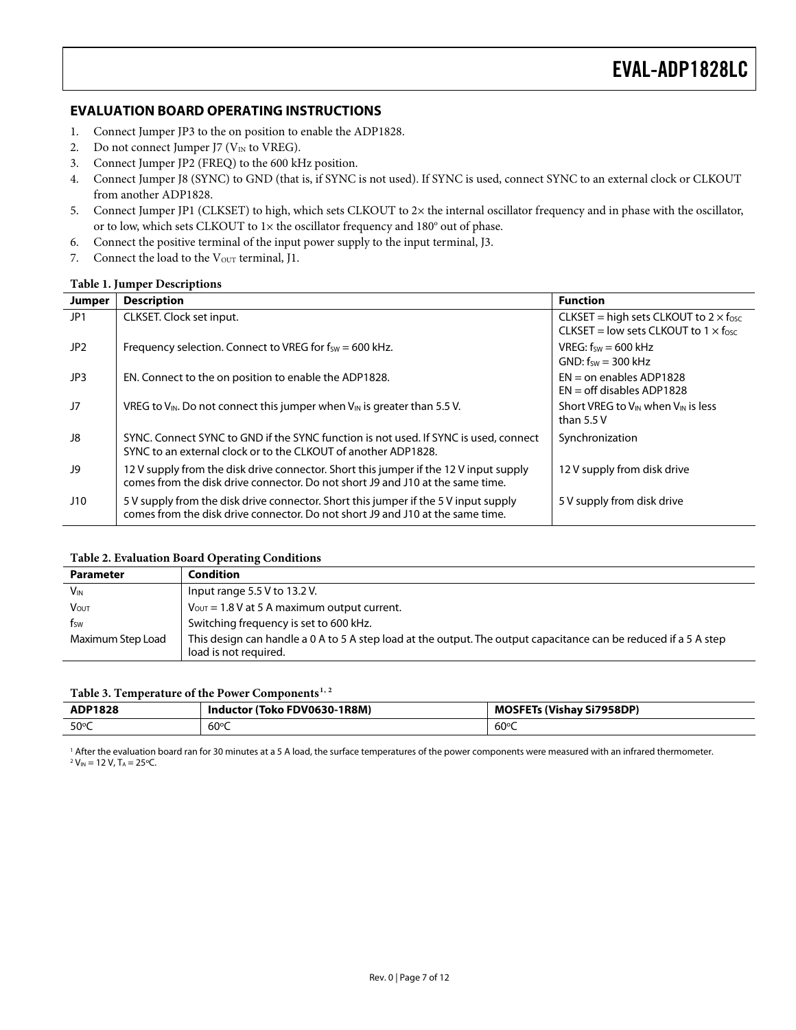### <span id="page-6-0"></span>**EVALUATION BOARD OPERATING INSTRUCTIONS**

- 1. Connect Jumper JP3 to the on position to enable the ADP1828.
- 2. Do not connect Jumper J7 ( $V_{IN}$  to VREG).
- 3. Connect Jumper JP2 (FREQ) to the 600 kHz position.
- 4. Connect Jumper J8 (SYNC) to GND (that is, if SYNC is not used). If SYNC is used, connect SYNC to an external clock or CLKOUT from another ADP1828.
- 5. Connect Jumper JP1 (CLKSET) to high, which sets CLKOUT to 2× the internal oscillator frequency and in phase with the oscillator, or to low, which sets CLKOUT to  $1 \times$  the oscillator frequency and  $180^\circ$  out of phase.
- 6. Connect the positive terminal of the input power supply to the input terminal, J3.
- 7. Connect the load to the V<sub>OUT</sub> terminal, J1.

#### **Table 1. Jumper Descriptions**

| Jumper          | <b>Description</b>                                                                                                                                                      | <b>Function</b>                                                                                       |
|-----------------|-------------------------------------------------------------------------------------------------------------------------------------------------------------------------|-------------------------------------------------------------------------------------------------------|
| JP1             | CLKSET. Clock set input.                                                                                                                                                | CLKSET = high sets CLKOUT to $2 \times f_{\text{osc}}$<br>CLKSET = low sets CLKOUT to $1 \times$ fosc |
| JP <sub>2</sub> | Frequency selection. Connect to VREG for $f_{SW} = 600$ kHz.                                                                                                            | $VREG: fsw = 600 kHz$<br>GND: $f_{SW} = 300$ kHz                                                      |
| JP3             | EN. Connect to the on position to enable the ADP1828.                                                                                                                   | $EN =$ on enables ADP1828<br>$EN = off$ disables ADP1828                                              |
| J7              | VREG to $V_{\text{IN}}$ . Do not connect this jumper when $V_{\text{IN}}$ is greater than 5.5 V.                                                                        | Short VREG to V <sub>IN</sub> when V <sub>IN</sub> is less<br>than 5.5 V                              |
| J8              | SYNC. Connect SYNC to GND if the SYNC function is not used. If SYNC is used, connect<br>SYNC to an external clock or to the CLKOUT of another ADP1828.                  | Synchronization                                                                                       |
| J9              | 12 V supply from the disk drive connector. Short this jumper if the 12 V input supply<br>comes from the disk drive connector. Do not short J9 and J10 at the same time. | 12 V supply from disk drive                                                                           |
| J10             | 5 V supply from the disk drive connector. Short this jumper if the 5 V input supply<br>comes from the disk drive connector. Do not short J9 and J10 at the same time.   | 5 V supply from disk drive                                                                            |

#### **Table 2. Evaluation Board Operating Conditions**

| <b>Parameter</b>      | <b>Condition</b>                                                                                                                          |
|-----------------------|-------------------------------------------------------------------------------------------------------------------------------------------|
| <b>V<sub>IN</sub></b> | Input range $5.5$ V to 13.2 V.                                                                                                            |
| <b>V</b> out          | $V_{\text{OUT}} = 1.8$ V at 5 A maximum output current.                                                                                   |
| fsw                   | Switching frequency is set to 600 kHz.                                                                                                    |
| Maximum Step Load     | This design can handle a 0 A to 5 A step load at the output. The output capacitance can be reduced if a 5 A step<br>load is not required. |

#### **Table 3. Temperature of the Power Components[1](#page-11-1), [2](#page-11-2)**

| ADP1828        | Inductor (Toko FDV0630-1R8M) | <b>MOSFETs (Vishay Si7958DP)</b> |
|----------------|------------------------------|----------------------------------|
| $50^{\circ}$ C | $60^{\circ}$ C               | $60^{\circ}$ C                   |

<sup>1</sup> After the evaluation board ran for 30 minutes at a 5 A load, the surface temperatures of the power components were measured with an infrared thermometer.<br><sup>2</sup> V… − 12 V T. − 25°C  $V_{IN}$  = 12 V, T<sub>A</sub> = 25°C.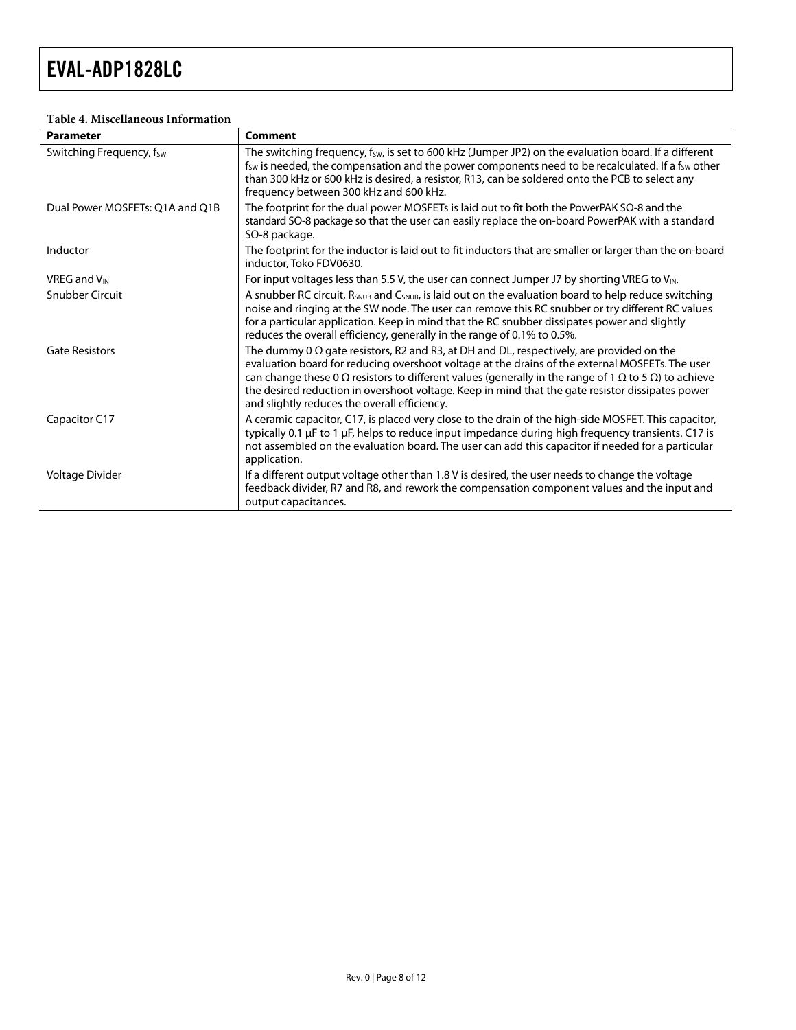#### **Table 4. Miscellaneous Information**

| <b>Parameter</b>                | <b>Comment</b>                                                                                                                                                                                                                                                                                                                                                                                                                                                                       |
|---------------------------------|--------------------------------------------------------------------------------------------------------------------------------------------------------------------------------------------------------------------------------------------------------------------------------------------------------------------------------------------------------------------------------------------------------------------------------------------------------------------------------------|
| Switching Frequency, fsw        | The switching frequency, fsw, is set to 600 kHz (Jumper JP2) on the evaluation board. If a different<br>f <sub>sw</sub> is needed, the compensation and the power components need to be recalculated. If a f <sub>sw</sub> other<br>than 300 kHz or 600 kHz is desired, a resistor, R13, can be soldered onto the PCB to select any<br>frequency between 300 kHz and 600 kHz.                                                                                                        |
| Dual Power MOSFETs: 01A and 01B | The footprint for the dual power MOSFETs is laid out to fit both the PowerPAK SO-8 and the<br>standard SO-8 package so that the user can easily replace the on-board PowerPAK with a standard<br>SO-8 package.                                                                                                                                                                                                                                                                       |
| Inductor                        | The footprint for the inductor is laid out to fit inductors that are smaller or larger than the on-board<br>inductor. Toko FDV0630.                                                                                                                                                                                                                                                                                                                                                  |
| <b>VREG and V<sub>IN</sub></b>  | For input voltages less than 5.5 V, the user can connect Jumper J7 by shorting VREG to V <sub>IN</sub> .                                                                                                                                                                                                                                                                                                                                                                             |
| Snubber Circuit                 | A snubber RC circuit, R <sub>SNUB</sub> and C <sub>SNUB</sub> , is laid out on the evaluation board to help reduce switching<br>noise and ringing at the SW node. The user can remove this RC snubber or try different RC values<br>for a particular application. Keep in mind that the RC snubber dissipates power and slightly<br>reduces the overall efficiency, generally in the range of 0.1% to 0.5%.                                                                          |
| <b>Gate Resistors</b>           | The dummy 0 $\Omega$ gate resistors, R2 and R3, at DH and DL, respectively, are provided on the<br>evaluation board for reducing overshoot voltage at the drains of the external MOSFETs. The user<br>can change these 0 $\Omega$ resistors to different values (generally in the range of 1 $\Omega$ to 5 $\Omega$ ) to achieve<br>the desired reduction in overshoot voltage. Keep in mind that the gate resistor dissipates power<br>and slightly reduces the overall efficiency. |
| Capacitor C17                   | A ceramic capacitor, C17, is placed very close to the drain of the high-side MOSFET. This capacitor,<br>typically 0.1 µF to 1 µF, helps to reduce input impedance during high frequency transients. C17 is<br>not assembled on the evaluation board. The user can add this capacitor if needed for a particular<br>application.                                                                                                                                                      |
| Voltage Divider                 | If a different output voltage other than 1.8 V is desired, the user needs to change the voltage<br>feedback divider, R7 and R8, and rework the compensation component values and the input and<br>output capacitances.                                                                                                                                                                                                                                                               |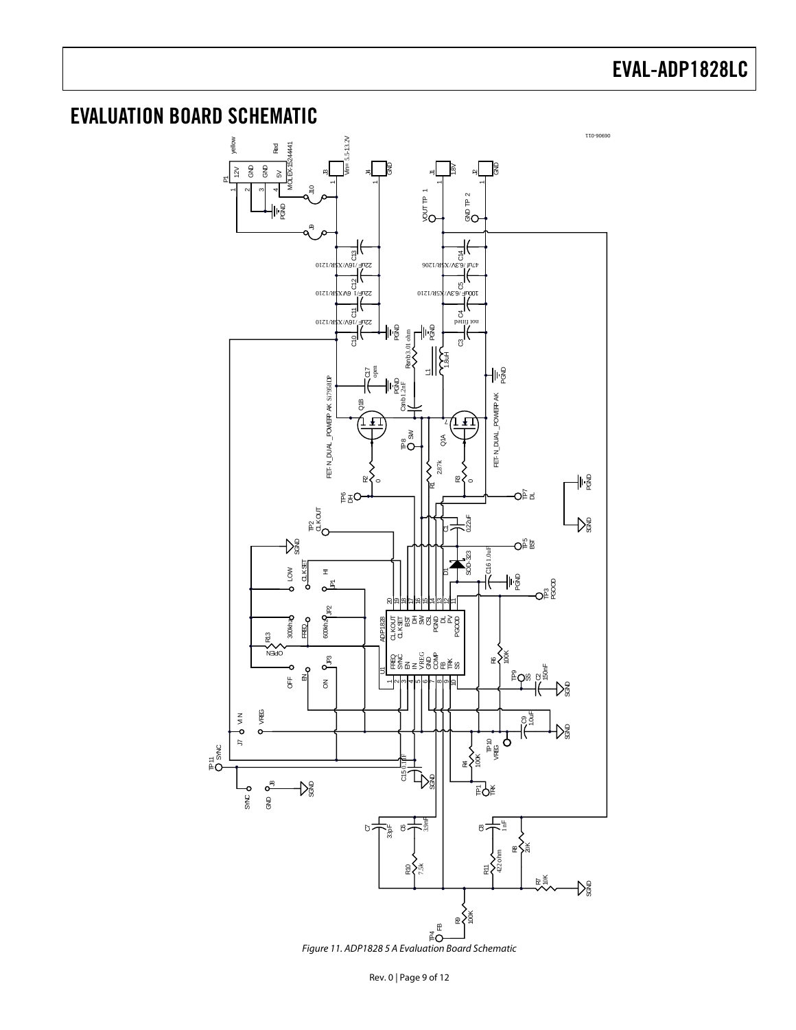### <span id="page-8-0"></span>EVALUATION BOARD SCHEMATIC



Figure 11. ADP1828 5 A Evaluation Board Schematic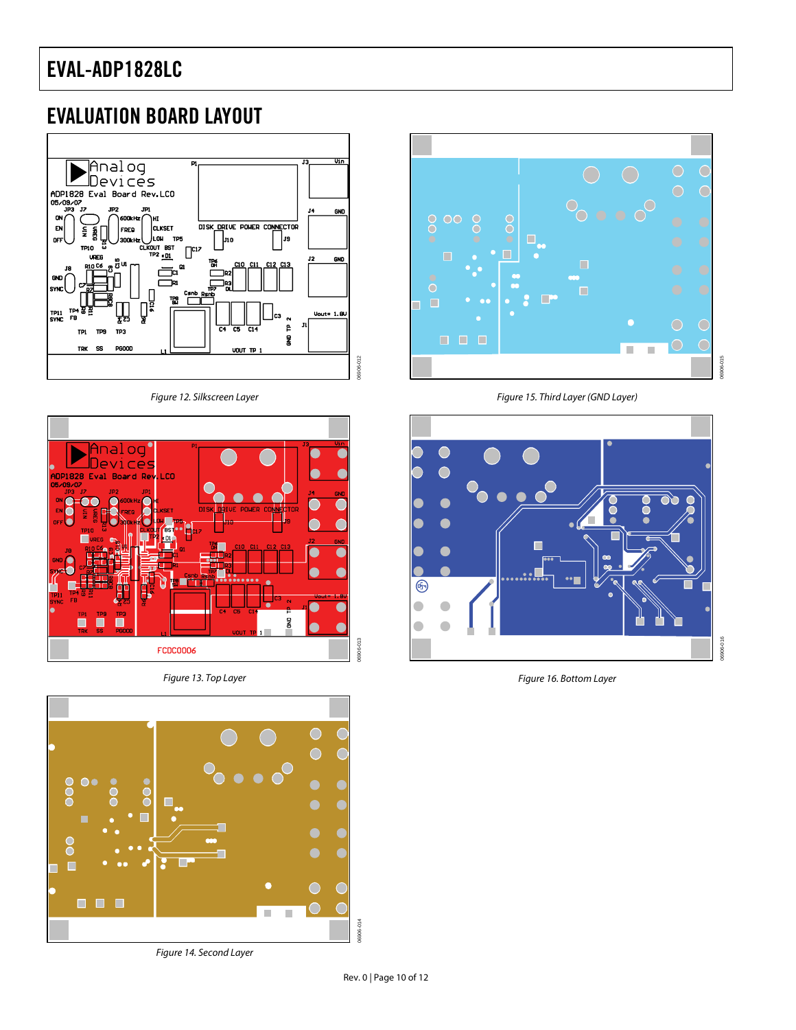### <span id="page-9-0"></span>EVALUATION BOARD LAYOUT



Figure 12. Silkscreen Layer



Figure 13. Top Layer



Figure 14. Second Layer



Figure 15. Third Layer (GND Layer)



Figure 16. Bottom Layer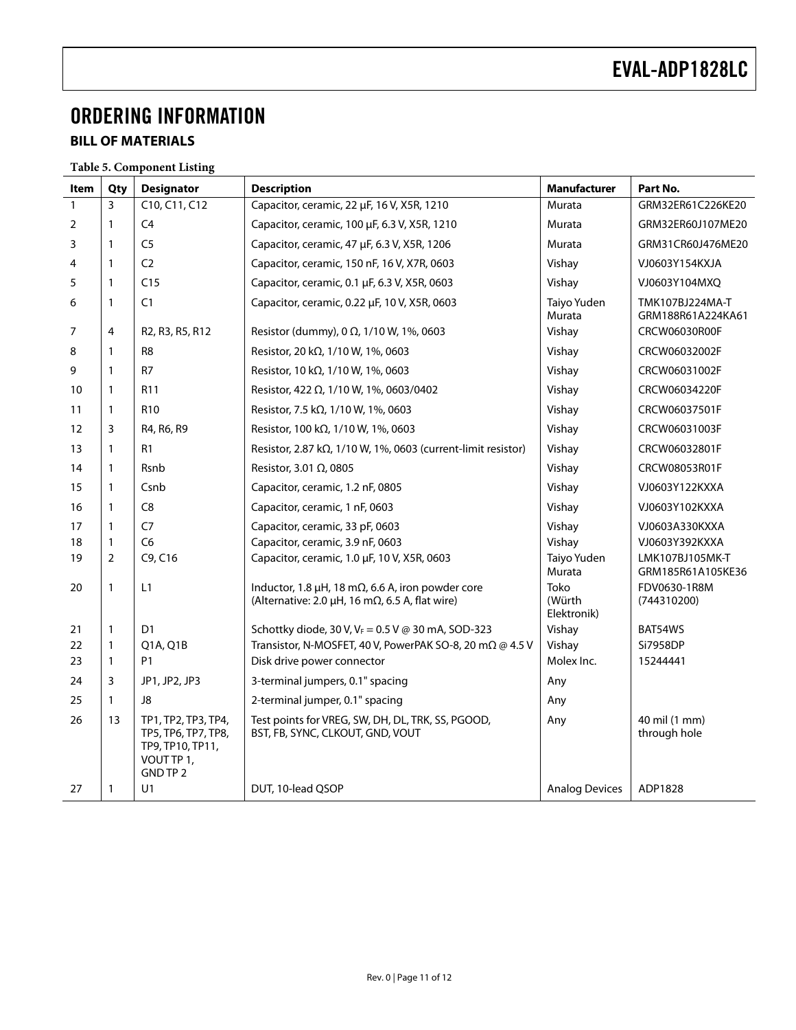## <span id="page-10-0"></span>ORDERING INFORMATION

### **BILL OF MATERIALS**

**Table 5. Component Listing** 

| Item | Qty            | <b>Designator</b>                                                                        | <b>Description</b>                                                                                                             | <b>Manufacturer</b>           | Part No.                             |
|------|----------------|------------------------------------------------------------------------------------------|--------------------------------------------------------------------------------------------------------------------------------|-------------------------------|--------------------------------------|
| 1    | 3              | C10, C11, C12                                                                            | Capacitor, ceramic, 22 µF, 16 V, X5R, 1210                                                                                     | Murata                        | GRM32ER61C226KE20                    |
| 2    | 1              | C <sub>4</sub>                                                                           | Capacitor, ceramic, 100 µF, 6.3 V, X5R, 1210                                                                                   | Murata                        | GRM32ER60J107ME20                    |
| 3    | 1              | C <sub>5</sub>                                                                           | Capacitor, ceramic, 47 µF, 6.3 V, X5R, 1206                                                                                    | Murata                        | GRM31CR60J476ME20                    |
| 4    | 1              | C <sub>2</sub>                                                                           | Capacitor, ceramic, 150 nF, 16 V, X7R, 0603                                                                                    | Vishay                        | VJ0603Y154KXJA                       |
| 5    | 1              | C15                                                                                      | Capacitor, ceramic, 0.1 µF, 6.3 V, X5R, 0603                                                                                   | Vishay                        | VJ0603Y104MXQ                        |
| 6    | 1              | C1                                                                                       | Capacitor, ceramic, 0.22 µF, 10 V, X5R, 0603                                                                                   | Taiyo Yuden<br>Murata         | TMK107BJ224MA-T<br>GRM188R61A224KA61 |
| 7    | 4              | R <sub>2</sub> , R <sub>3</sub> , R <sub>5</sub> , R <sub>12</sub>                       | Resistor (dummy), 0 $\Omega$ , 1/10 W, 1%, 0603                                                                                | Vishay                        | CRCW06030R00F                        |
| 8    | 1              | R <sub>8</sub>                                                                           | Resistor, 20 kΩ, 1/10 W, 1%, 0603                                                                                              | Vishay                        | CRCW06032002F                        |
| 9    | 1              | R7                                                                                       | Resistor, 10 kΩ, 1/10 W, 1%, 0603                                                                                              | Vishay                        | CRCW06031002F                        |
| 10   | 1              | R <sub>11</sub>                                                                          | Resistor, 422 Ω, 1/10 W, 1%, 0603/0402                                                                                         | Vishay                        | CRCW06034220F                        |
| 11   | 1              | R <sub>10</sub>                                                                          | Resistor, 7.5 kΩ, 1/10 W, 1%, 0603                                                                                             | Vishay                        | CRCW06037501F                        |
| 12   | 3              | R4, R6, R9                                                                               | Resistor, 100 kΩ, 1/10 W, 1%, 0603                                                                                             | Vishay                        | CRCW06031003F                        |
| 13   | 1              | R1                                                                                       | Resistor, 2.87 k $\Omega$ , 1/10 W, 1%, 0603 (current-limit resistor)                                                          | Vishay                        | CRCW06032801F                        |
| 14   | 1              | Rsnb                                                                                     | Resistor, 3.01 Ω, 0805                                                                                                         | Vishay                        | CRCW08053R01F                        |
| 15   | 1              | Csnb                                                                                     | Capacitor, ceramic, 1.2 nF, 0805                                                                                               | Vishay                        | VJ0603Y122KXXA                       |
| 16   | $\mathbf{1}$   | C <sub>8</sub>                                                                           | Capacitor, ceramic, 1 nF, 0603                                                                                                 | Vishay                        | VJ0603Y102KXXA                       |
| 17   | 1              | C7                                                                                       | Capacitor, ceramic, 33 pF, 0603                                                                                                | Vishay                        | VJ0603A330KXXA                       |
| 18   | 1              | C <sub>6</sub>                                                                           | Capacitor, ceramic, 3.9 nF, 0603                                                                                               | Vishay                        | VJ0603Y392KXXA                       |
| 19   | $\overline{2}$ | C9, C16                                                                                  | Capacitor, ceramic, 1.0 µF, 10 V, X5R, 0603                                                                                    | Taiyo Yuden<br>Murata         | LMK107BJ105MK-T<br>GRM185R61A105KE36 |
| 20   | 1              | L1                                                                                       | Inductor, 1.8 $\mu$ H, 18 m $\Omega$ , 6.6 A, iron powder core<br>(Alternative: 2.0 $\mu$ H, 16 m $\Omega$ , 6.5 A, flat wire) | Toko<br>(Würth<br>Elektronik) | FDV0630-1R8M<br>(744310200)          |
| 21   | 1              | D <sub>1</sub>                                                                           | Schottky diode, 30 V, $V_F$ = 0.5 V @ 30 mA, SOD-323                                                                           | Vishay                        | BAT54WS                              |
| 22   | 1              | Q1A, Q1B                                                                                 | Transistor, N-MOSFET, 40 V, PowerPAK SO-8, 20 mΩ @ 4.5 V                                                                       | Vishay                        | Si7958DP                             |
| 23   | $\mathbf{1}$   | P <sub>1</sub>                                                                           | Disk drive power connector                                                                                                     | Molex Inc.                    | 15244441                             |
| 24   | 3              | JP1, JP2, JP3                                                                            | 3-terminal jumpers, 0.1" spacing                                                                                               | Any                           |                                      |
| 25   | $\mathbf{1}$   | J8                                                                                       | 2-terminal jumper, 0.1" spacing                                                                                                | Any                           |                                      |
| 26   | 13             | TP1, TP2, TP3, TP4,<br>TP5, TP6, TP7, TP8,<br>TP9, TP10, TP11,<br>VOUT TP 1,<br>GND TP 2 | Test points for VREG, SW, DH, DL, TRK, SS, PGOOD,<br>BST, FB, SYNC, CLKOUT, GND, VOUT                                          | Any                           | 40 mil (1 mm)<br>through hole        |
| 27   | 1              | U1                                                                                       | DUT, 10-lead QSOP                                                                                                              | <b>Analog Devices</b>         | ADP1828                              |